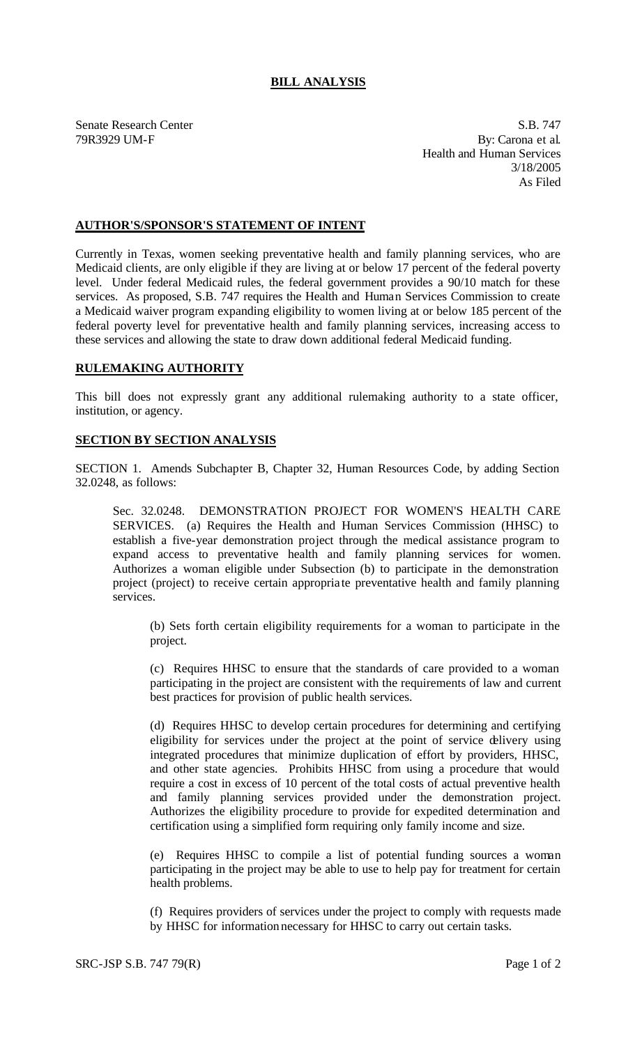## **BILL ANALYSIS**

Senate Research Center S.B. 747 79R3929 UM-F By: Carona et al. Health and Human Services 3/18/2005 As Filed

## **AUTHOR'S/SPONSOR'S STATEMENT OF INTENT**

Currently in Texas, women seeking preventative health and family planning services, who are Medicaid clients, are only eligible if they are living at or below 17 percent of the federal poverty level. Under federal Medicaid rules, the federal government provides a 90/10 match for these services. As proposed, S.B. 747 requires the Health and Human Services Commission to create a Medicaid waiver program expanding eligibility to women living at or below 185 percent of the federal poverty level for preventative health and family planning services, increasing access to these services and allowing the state to draw down additional federal Medicaid funding.

## **RULEMAKING AUTHORITY**

This bill does not expressly grant any additional rulemaking authority to a state officer, institution, or agency.

## **SECTION BY SECTION ANALYSIS**

SECTION 1. Amends Subchapter B, Chapter 32, Human Resources Code, by adding Section 32.0248, as follows:

Sec. 32.0248. DEMONSTRATION PROJECT FOR WOMEN'S HEALTH CARE SERVICES. (a) Requires the Health and Human Services Commission (HHSC) to establish a five-year demonstration project through the medical assistance program to expand access to preventative health and family planning services for women. Authorizes a woman eligible under Subsection (b) to participate in the demonstration project (project) to receive certain appropria te preventative health and family planning services.

(b) Sets forth certain eligibility requirements for a woman to participate in the project.

(c) Requires HHSC to ensure that the standards of care provided to a woman participating in the project are consistent with the requirements of law and current best practices for provision of public health services.

(d) Requires HHSC to develop certain procedures for determining and certifying eligibility for services under the project at the point of service delivery using integrated procedures that minimize duplication of effort by providers, HHSC, and other state agencies. Prohibits HHSC from using a procedure that would require a cost in excess of 10 percent of the total costs of actual preventive health and family planning services provided under the demonstration project. Authorizes the eligibility procedure to provide for expedited determination and certification using a simplified form requiring only family income and size.

(e) Requires HHSC to compile a list of potential funding sources a woman participating in the project may be able to use to help pay for treatment for certain health problems.

(f) Requires providers of services under the project to comply with requests made by HHSC for information necessary for HHSC to carry out certain tasks.